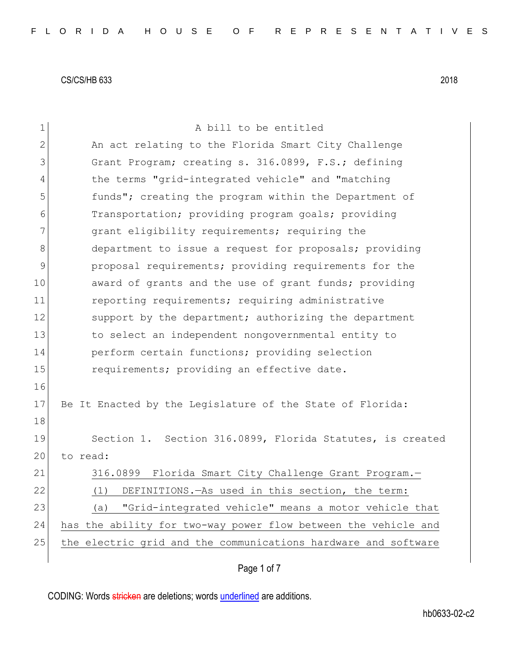| 1              | A bill to be entitled                                          |
|----------------|----------------------------------------------------------------|
| 2              | An act relating to the Florida Smart City Challenge            |
| 3              | Grant Program; creating s. 316.0899, F.S.; defining            |
| $\overline{4}$ | the terms "grid-integrated vehicle" and "matching              |
| 5              | funds"; creating the program within the Department of          |
| 6              | Transportation; providing program goals; providing             |
| 7              | grant eligibility requirements; requiring the                  |
| 8              | department to issue a request for proposals; providing         |
| $\mathsf 9$    | proposal requirements; providing requirements for the          |
| 10             | award of grants and the use of grant funds; providing          |
| 11             | reporting requirements; requiring administrative               |
| 12             | support by the department; authorizing the department          |
| 13             | to select an independent nongovernmental entity to             |
| 14             | perform certain functions; providing selection                 |
| 15             | requirements; providing an effective date.                     |
| 16             |                                                                |
| 17             | Be It Enacted by the Legislature of the State of Florida:      |
| 18             |                                                                |
| 19             | Section 1. Section 316.0899, Florida Statutes, is created      |
| 20             | to read:                                                       |
| 21             | 316.0899 Florida Smart City Challenge Grant Program.-          |
| 22             | DEFINITIONS. - As used in this section, the term:<br>(1)       |
| 23             | "Grid-integrated vehicle" means a motor vehicle that<br>(a)    |
| 24             | has the ability for two-way power flow between the vehicle and |
| 25             | the electric grid and the communications hardware and software |
|                | Page 1 of 7                                                    |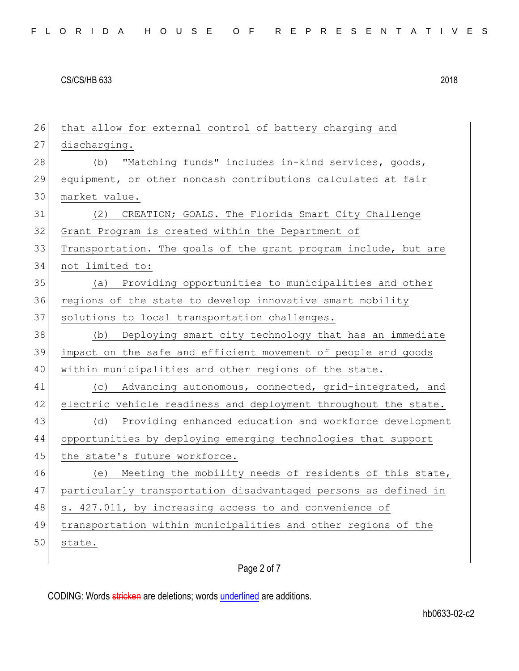26 that allow for external control of battery charging and 27 discharging. 28 (b) "Matching funds" includes in-kind services, goods, 29 equipment, or other noncash contributions calculated at fair 30 market value. 31 (2) CREATION; GOALS.—The Florida Smart City Challenge 32 Grant Program is created within the Department of 33 Transportation. The goals of the grant program include, but are 34 not limited to: 35 (a) Providing opportunities to municipalities and other 36 regions of the state to develop innovative smart mobility 37 solutions to local transportation challenges. 38 (b) Deploying smart city technology that has an immediate 39 impact on the safe and efficient movement of people and goods 40 within municipalities and other regions of the state. 41 (c) Advancing autonomous, connected, grid-integrated, and 42 electric vehicle readiness and deployment throughout the state. 43 (d) Providing enhanced education and workforce development 44 opportunities by deploying emerging technologies that support 45 the state's future workforce. 46 (e) Meeting the mobility needs of residents of this state, 47 particularly transportation disadvantaged persons as defined in 48 s. 427.011, by increasing access to and convenience of 49 transportation within municipalities and other regions of the 50 state.

## Page 2 of 7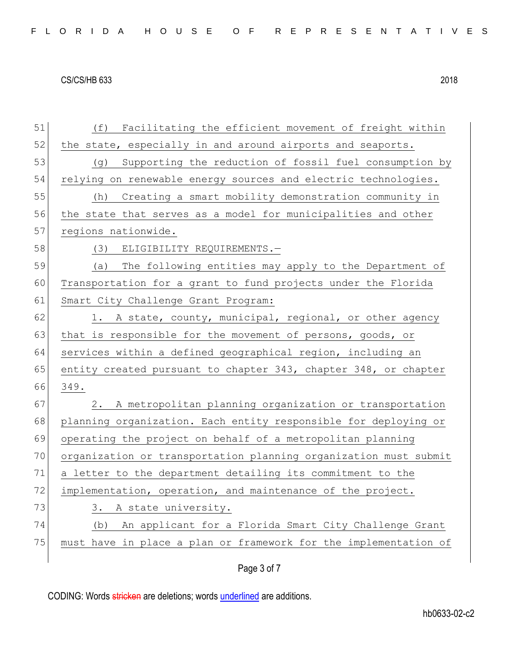| 51 | Facilitating the efficient movement of freight within<br>(f)     |
|----|------------------------------------------------------------------|
| 52 | the state, especially in and around airports and seaports.       |
| 53 | Supporting the reduction of fossil fuel consumption by<br>(g)    |
| 54 | relying on renewable energy sources and electric technologies.   |
| 55 | Creating a smart mobility demonstration community in<br>(h)      |
| 56 | the state that serves as a model for municipalities and other    |
| 57 | regions nationwide.                                              |
| 58 | (3) ELIGIBILITY REQUIREMENTS.-                                   |
| 59 | The following entities may apply to the Department of<br>(a)     |
| 60 | Transportation for a grant to fund projects under the Florida    |
| 61 | Smart City Challenge Grant Program:                              |
| 62 | 1. A state, county, municipal, regional, or other agency         |
| 63 | that is responsible for the movement of persons, goods, or       |
| 64 | services within a defined geographical region, including an      |
| 65 | entity created pursuant to chapter 343, chapter 348, or chapter  |
| 66 | 349.                                                             |
| 67 | A metropolitan planning organization or transportation<br>2.     |
| 68 | planning organization. Each entity responsible for deploying or  |
| 69 | operating the project on behalf of a metropolitan planning       |
| 70 | organization or transportation planning organization must submit |
| 71 | a letter to the department detailing its commitment to the       |
| 72 | implementation, operation, and maintenance of the project.       |
| 73 | A state university.<br>3.                                        |
| 74 | An applicant for a Florida Smart City Challenge Grant<br>(b)     |
| 75 | must have in place a plan or framework for the implementation of |
|    | Page 3 of 7                                                      |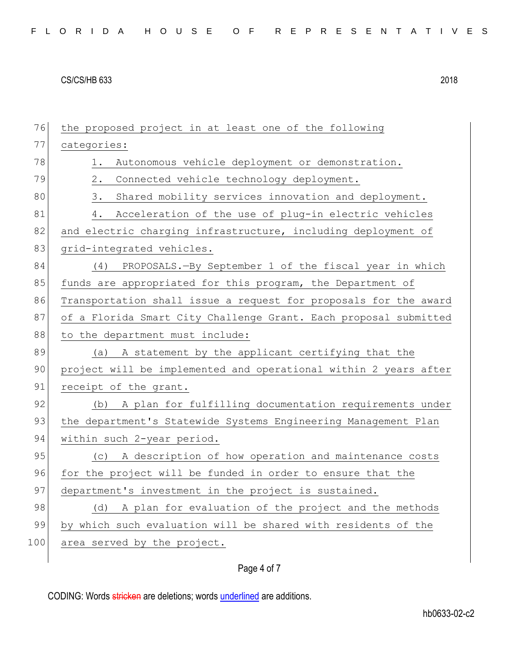| 76  | the proposed project in at least one of the following            |
|-----|------------------------------------------------------------------|
| 77  | categories:                                                      |
| 78  | Autonomous vehicle deployment or demonstration.<br>1.            |
| 79  | Connected vehicle technology deployment.<br>$2$ .                |
| 80  | 3.<br>Shared mobility services innovation and deployment.        |
| 81  | Acceleration of the use of plug-in electric vehicles<br>4.       |
| 82  | and electric charging infrastructure, including deployment of    |
| 83  | grid-integrated vehicles.                                        |
| 84  | PROPOSALS.-By September 1 of the fiscal year in which<br>(4)     |
| 85  | funds are appropriated for this program, the Department of       |
| 86  | Transportation shall issue a request for proposals for the award |
| 87  | of a Florida Smart City Challenge Grant. Each proposal submitted |
| 88  | to the department must include:                                  |
| 89  | A statement by the applicant certifying that the<br>(a)          |
| 90  | project will be implemented and operational within 2 years after |
| 91  | receipt of the grant.                                            |
| 92  | (b) A plan for fulfilling documentation requirements under       |
| 93  | the department's Statewide Systems Engineering Management Plan   |
| 94  | within such 2-year period.                                       |
| 95  | (c) A description of how operation and maintenance costs         |
| 96  | for the project will be funded in order to ensure that the       |
| 97  | department's investment in the project is sustained.             |
| 98  | (d) A plan for evaluation of the project and the methods         |
| 99  | by which such evaluation will be shared with residents of the    |
| 100 | area served by the project.                                      |
|     |                                                                  |

## Page 4 of 7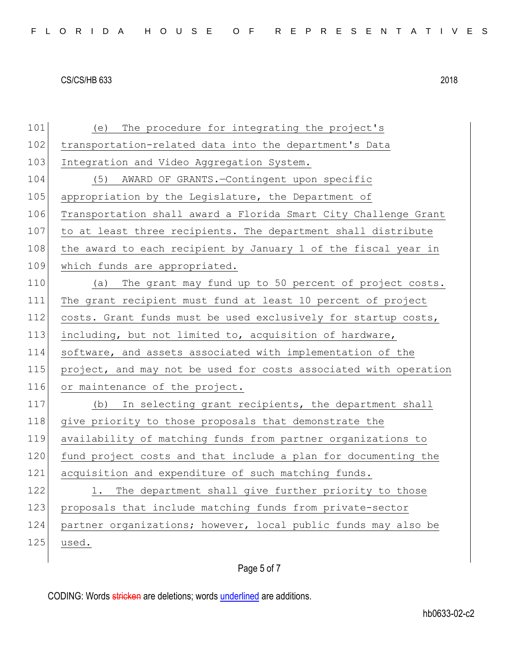| 101 | The procedure for integrating the project's<br>(e)               |
|-----|------------------------------------------------------------------|
| 102 | transportation-related data into the department's Data           |
| 103 | Integration and Video Aggregation System.                        |
| 104 | AWARD OF GRANTS.-Contingent upon specific<br>(5)                 |
| 105 | appropriation by the Legislature, the Department of              |
| 106 | Transportation shall award a Florida Smart City Challenge Grant  |
| 107 | to at least three recipients. The department shall distribute    |
| 108 | the award to each recipient by January 1 of the fiscal year in   |
| 109 | which funds are appropriated.                                    |
| 110 | The grant may fund up to 50 percent of project costs.<br>(a)     |
| 111 | The grant recipient must fund at least 10 percent of project     |
| 112 | costs. Grant funds must be used exclusively for startup costs,   |
| 113 | including, but not limited to, acquisition of hardware,          |
| 114 | software, and assets associated with implementation of the       |
| 115 | project, and may not be used for costs associated with operation |
| 116 | or maintenance of the project.                                   |
| 117 | In selecting grant recipients, the department shall<br>(b)       |
| 118 | give priority to those proposals that demonstrate the            |
| 119 | availability of matching funds from partner organizations to     |
| 120 | fund project costs and that include a plan for documenting the   |
| 121 | acquisition and expenditure of such matching funds.              |
| 122 | The department shall give further priority to those<br>1.        |
| 123 | proposals that include matching funds from private-sector        |
| 124 | partner organizations; however, local public funds may also be   |
| 125 | used.                                                            |
|     |                                                                  |

# Page 5 of 7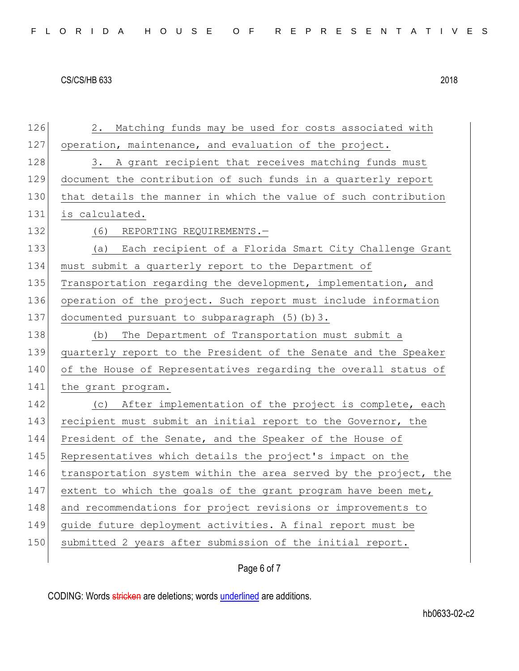126 2. Matching funds may be used for costs associated with 127 operation, maintenance, and evaluation of the project. 128 3. A grant recipient that receives matching funds must 129 document the contribution of such funds in a quarterly report 130 that details the manner in which the value of such contribution 131 is calculated. 132 (6) REPORTING REQUIREMENTS.-133 (a) Each recipient of a Florida Smart City Challenge Grant 134 must submit a quarterly report to the Department of 135 Transportation regarding the development, implementation, and 136 operation of the project. Such report must include information 137 documented pursuant to subparagraph (5)(b)3. 138 (b) The Department of Transportation must submit a 139 quarterly report to the President of the Senate and the Speaker 140 of the House of Representatives regarding the overall status of 141 the grant program. 142 (c) After implementation of the project is complete, each 143 recipient must submit an initial report to the Governor, the 144 President of the Senate, and the Speaker of the House of 145 Representatives which details the project's impact on the 146 transportation system within the area served by the project, the 147 extent to which the goals of the grant program have been met, 148 and recommendations for project revisions or improvements to 149 guide future deployment activities. A final report must be 150 submitted 2 years after submission of the initial report.

Page 6 of 7